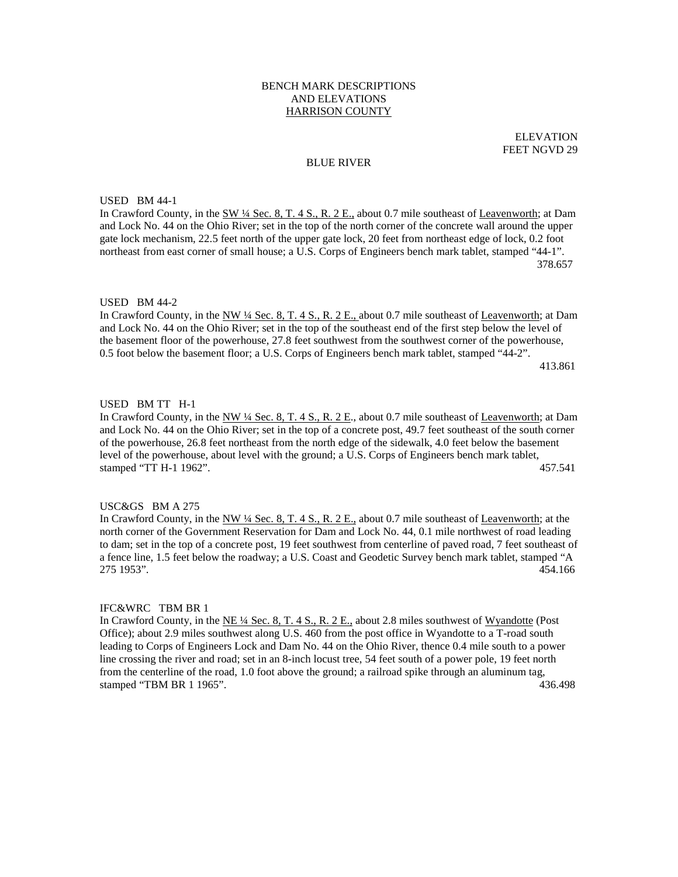# BENCH MARK DESCRIPTIONS AND ELEVATIONS HARRISON COUNTY

ELEVATION FEET NGVD 29

#### BLUE RIVER

USED BM 44-1

In Crawford County, in the SW <sup>1</sup>/4 Sec. 8, T. 4 S., R. 2 E., about 0.7 mile southeast of Leavenworth; at Dam and Lock No. 44 on the Ohio River; set in the top of the north corner of the concrete wall around the upper gate lock mechanism, 22.5 feet north of the upper gate lock, 20 feet from northeast edge of lock, 0.2 foot northeast from east corner of small house; a U.S. Corps of Engineers bench mark tablet, stamped "44-1". 378.657

#### USED BM 44-2

In Crawford County, in the NW ¼ Sec. 8, T. 4 S., R. 2 E., about 0.7 mile southeast of Leavenworth; at Dam and Lock No. 44 on the Ohio River; set in the top of the southeast end of the first step below the level of the basement floor of the powerhouse, 27.8 feet southwest from the southwest corner of the powerhouse, 0.5 foot below the basement floor; a U.S. Corps of Engineers bench mark tablet, stamped "44-2". 413.861

#### USED BM TT H-1

In Crawford County, in the NW ¼ Sec. 8, T. 4 S., R. 2 E., about 0.7 mile southeast of Leavenworth; at Dam and Lock No. 44 on the Ohio River; set in the top of a concrete post, 49.7 feet southeast of the south corner of the powerhouse, 26.8 feet northeast from the north edge of the sidewalk, 4.0 feet below the basement level of the powerhouse, about level with the ground; a U.S. Corps of Engineers bench mark tablet, stamped "TT H-1 1962". 457.541

## USC&GS BM A 275

In Crawford County, in the NW ¼ Sec. 8, T. 4 S., R. 2 E., about 0.7 mile southeast of Leavenworth; at the north corner of the Government Reservation for Dam and Lock No. 44, 0.1 mile northwest of road leading to dam; set in the top of a concrete post, 19 feet southwest from centerline of paved road, 7 feet southeast of a fence line, 1.5 feet below the roadway; a U.S. Coast and Geodetic Survey bench mark tablet, stamped "A 275 1953". 454.166

#### IFC&WRC TBM BR 1

In Crawford County, in the NE 1/4 Sec. 8, T. 4 S., R. 2 E., about 2.8 miles southwest of Wyandotte (Post Office); about 2.9 miles southwest along U.S. 460 from the post office in Wyandotte to a T-road south leading to Corps of Engineers Lock and Dam No. 44 on the Ohio River, thence 0.4 mile south to a power line crossing the river and road; set in an 8-inch locust tree, 54 feet south of a power pole, 19 feet north from the centerline of the road, 1.0 foot above the ground; a railroad spike through an aluminum tag, stamped "TBM BR 1 1965". 436.498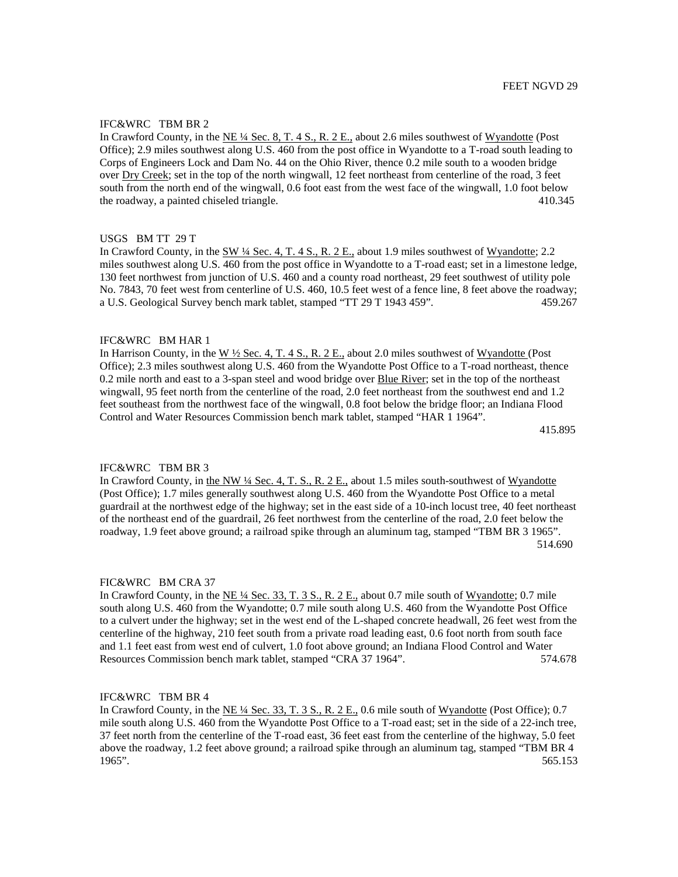In Crawford County, in the NE ¼ Sec. 8, T. 4 S., R. 2 E., about 2.6 miles southwest of Wyandotte (Post Office); 2.9 miles southwest along U.S. 460 from the post office in Wyandotte to a T-road south leading to Corps of Engineers Lock and Dam No. 44 on the Ohio River, thence 0.2 mile south to a wooden bridge over Dry Creek; set in the top of the north wingwall, 12 feet northeast from centerline of the road, 3 feet south from the north end of the wingwall, 0.6 foot east from the west face of the wingwall, 1.0 foot below the roadway, a painted chiseled triangle. 410.345

#### USGS BM TT 29 T

In Crawford County, in the SW ¼ Sec. 4, T. 4 S., R. 2 E., about 1.9 miles southwest of Wyandotte; 2.2 miles southwest along U.S. 460 from the post office in Wyandotte to a T-road east; set in a limestone ledge, 130 feet northwest from junction of U.S. 460 and a county road northeast, 29 feet southwest of utility pole No. 7843, 70 feet west from centerline of U.S. 460, 10.5 feet west of a fence line, 8 feet above the roadway; a U.S. Geological Survey bench mark tablet, stamped "TT 29 T 1943 459". 459.267

# IFC&WRC BM HAR 1

In Harrison County, in the W  $\frac{1}{2}$  Sec. 4, T. 4 S., R. 2 E., about 2.0 miles southwest of Wyandotte (Post Office); 2.3 miles southwest along U.S. 460 from the Wyandotte Post Office to a T-road northeast, thence 0.2 mile north and east to a 3-span steel and wood bridge over Blue River; set in the top of the northeast wingwall, 95 feet north from the centerline of the road, 2.0 feet northeast from the southwest end and 1.2 feet southeast from the northwest face of the wingwall, 0.8 foot below the bridge floor; an Indiana Flood Control and Water Resources Commission bench mark tablet, stamped "HAR 1 1964".

415.895

## IFC&WRC TBM BR 3

In Crawford County, in the NW ¼ Sec. 4, T. S., R. 2 E., about 1.5 miles south-southwest of Wyandotte (Post Office); 1.7 miles generally southwest along U.S. 460 from the Wyandotte Post Office to a metal guardrail at the northwest edge of the highway; set in the east side of a 10-inch locust tree, 40 feet northeast of the northeast end of the guardrail, 26 feet northwest from the centerline of the road, 2.0 feet below the roadway, 1.9 feet above ground; a railroad spike through an aluminum tag, stamped "TBM BR 3 1965". 514.690

#### FIC&WRC BM CRA 37

In Crawford County, in the NE ¼ Sec. 33, T. 3 S., R. 2 E., about 0.7 mile south of Wyandotte; 0.7 mile south along U.S. 460 from the Wyandotte; 0.7 mile south along U.S. 460 from the Wyandotte Post Office to a culvert under the highway; set in the west end of the L-shaped concrete headwall, 26 feet west from the centerline of the highway, 210 feet south from a private road leading east, 0.6 foot north from south face and 1.1 feet east from west end of culvert, 1.0 foot above ground; an Indiana Flood Control and Water Resources Commission bench mark tablet, stamped "CRA 37 1964". 574.678

## IFC&WRC TBM BR 4

In Crawford County, in the NE ¼ Sec. 33, T. 3 S., R. 2 E., 0.6 mile south of Wyandotte (Post Office); 0.7 mile south along U.S. 460 from the Wyandotte Post Office to a T-road east; set in the side of a 22-inch tree, 37 feet north from the centerline of the T-road east, 36 feet east from the centerline of the highway, 5.0 feet above the roadway, 1.2 feet above ground; a railroad spike through an aluminum tag, stamped "TBM BR 4 1965". 565.153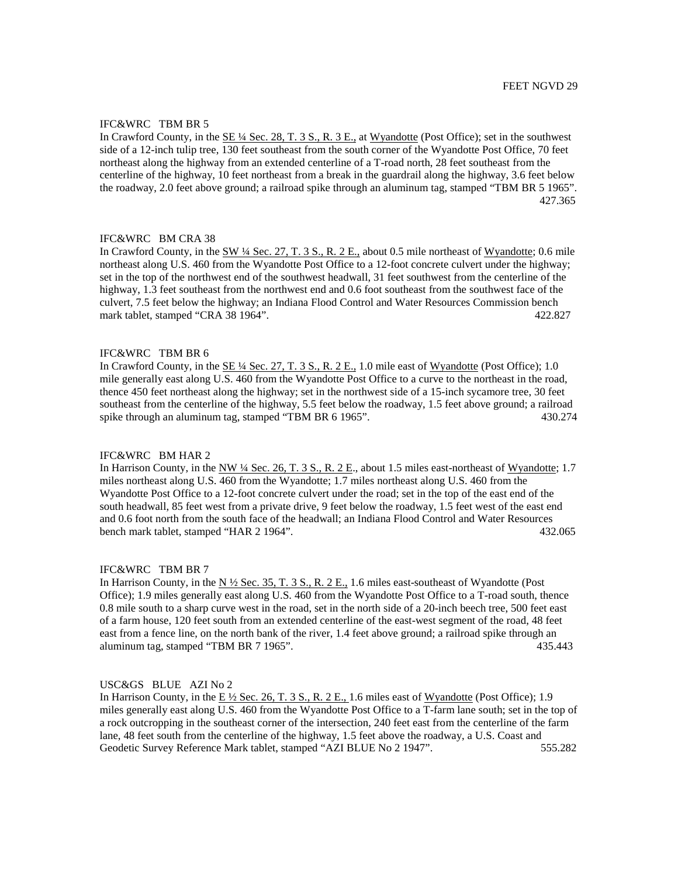In Crawford County, in the <u>SE ¼ Sec. 28, T. 3 S., R. 3 E.</u>, at Wyandotte (Post Office); set in the southwest side of a 12-inch tulip tree, 130 feet southeast from the south corner of the Wyandotte Post Office, 70 feet northeast along the highway from an extended centerline of a T-road north, 28 feet southeast from the centerline of the highway, 10 feet northeast from a break in the guardrail along the highway, 3.6 feet below the roadway, 2.0 feet above ground; a railroad spike through an aluminum tag, stamped "TBM BR 5 1965". 427.365

# IFC&WRC BM CRA 38

In Crawford County, in the SW ¼ Sec. 27, T. 3 S., R. 2 E., about 0.5 mile northeast of Wyandotte; 0.6 mile northeast along U.S. 460 from the Wyandotte Post Office to a 12-foot concrete culvert under the highway; set in the top of the northwest end of the southwest headwall, 31 feet southwest from the centerline of the highway, 1.3 feet southeast from the northwest end and 0.6 foot southeast from the southwest face of the culvert, 7.5 feet below the highway; an Indiana Flood Control and Water Resources Commission bench mark tablet, stamped "CRA 38 1964". 422.827

## IFC&WRC TBM BR 6

In Crawford County, in the SE ¼ Sec. 27, T. 3 S., R. 2 E., 1.0 mile east of Wyandotte (Post Office); 1.0 mile generally east along U.S. 460 from the Wyandotte Post Office to a curve to the northeast in the road, thence 450 feet northeast along the highway; set in the northwest side of a 15-inch sycamore tree, 30 feet southeast from the centerline of the highway, 5.5 feet below the roadway, 1.5 feet above ground; a railroad spike through an aluminum tag, stamped "TBM BR 6 1965". 430.274

#### IFC&WRC BM HAR 2

In Harrison County, in the NW 1/4 Sec. 26, T. 3 S., R. 2 E., about 1.5 miles east-northeast of Wyandotte; 1.7 miles northeast along U.S. 460 from the Wyandotte; 1.7 miles northeast along U.S. 460 from the Wyandotte Post Office to a 12-foot concrete culvert under the road; set in the top of the east end of the south headwall, 85 feet west from a private drive, 9 feet below the roadway, 1.5 feet west of the east end and 0.6 foot north from the south face of the headwall; an Indiana Flood Control and Water Resources bench mark tablet, stamped "HAR 2 1964". 432.065

#### IFC&WRC TBM BR 7

In Harrison County, in the  $N \frac{1}{2}$  Sec. 35, T. 3 S., R. 2 E., 1.6 miles east-southeast of Wyandotte (Post Office); 1.9 miles generally east along U.S. 460 from the Wyandotte Post Office to a T-road south, thence 0.8 mile south to a sharp curve west in the road, set in the north side of a 20-inch beech tree, 500 feet east of a farm house, 120 feet south from an extended centerline of the east-west segment of the road, 48 feet east from a fence line, on the north bank of the river, 1.4 feet above ground; a railroad spike through an aluminum tag, stamped "TBM BR 7 1965". 435.443

#### USC&GS BLUE AZI No 2

In Harrison County, in the  $E\frac{1}{2}$  Sec. 26, T. 3 S., R. 2 E., 1.6 miles east of Wyandotte (Post Office); 1.9 miles generally east along U.S. 460 from the Wyandotte Post Office to a T-farm lane south; set in the top of a rock outcropping in the southeast corner of the intersection, 240 feet east from the centerline of the farm lane, 48 feet south from the centerline of the highway, 1.5 feet above the roadway, a U.S. Coast and Geodetic Survey Reference Mark tablet, stamped "AZI BLUE No 2 1947". 555.282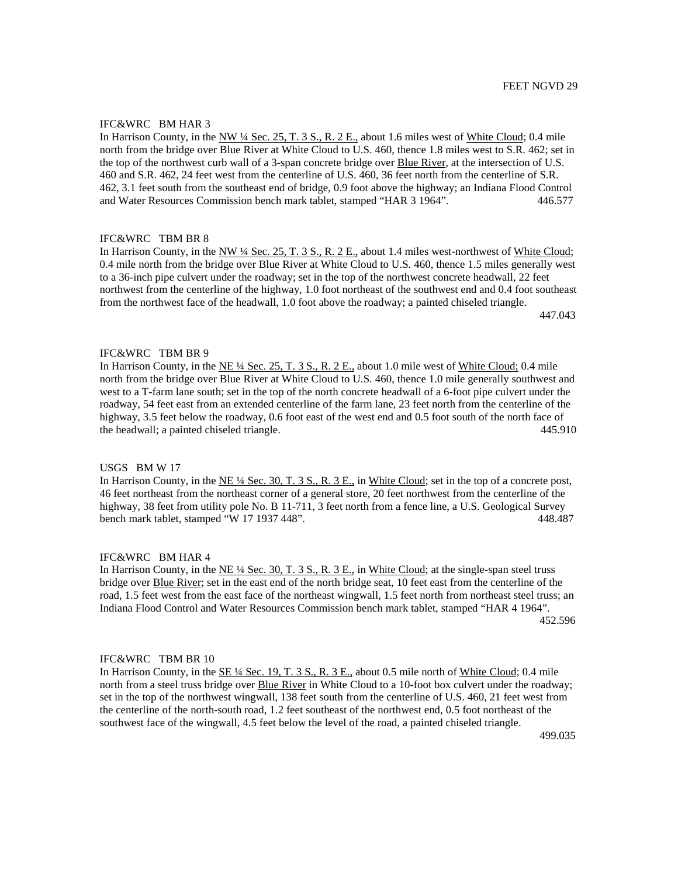## IFC&WRC BM HAR 3

In Harrison County, in the NW ¼ Sec. 25, T. 3 S., R. 2 E., about 1.6 miles west of White Cloud; 0.4 mile north from the bridge over Blue River at White Cloud to U.S. 460, thence 1.8 miles west to S.R. 462; set in the top of the northwest curb wall of a 3-span concrete bridge over Blue River, at the intersection of U.S. 460 and S.R. 462, 24 feet west from the centerline of U.S. 460, 36 feet north from the centerline of S.R. 462, 3.1 feet south from the southeast end of bridge, 0.9 foot above the highway; an Indiana Flood Control and Water Resources Commission bench mark tablet, stamped "HAR 3 1964". 446.577

# IFC&WRC TBM BR 8

In Harrison County, in the NW ¼ Sec. 25, T. 3 S., R. 2 E., about 1.4 miles west-northwest of White Cloud; 0.4 mile north from the bridge over Blue River at White Cloud to U.S. 460, thence 1.5 miles generally west to a 36-inch pipe culvert under the roadway; set in the top of the northwest concrete headwall, 22 feet northwest from the centerline of the highway, 1.0 foot northeast of the southwest end and 0.4 foot southeast from the northwest face of the headwall, 1.0 foot above the roadway; a painted chiseled triangle.

447.043

## IFC&WRC TBM BR 9

In Harrison County, in the NE ¼ Sec. 25, T. 3 S., R. 2 E., about 1.0 mile west of White Cloud; 0.4 mile north from the bridge over Blue River at White Cloud to U.S. 460, thence 1.0 mile generally southwest and west to a T-farm lane south; set in the top of the north concrete headwall of a 6-foot pipe culvert under the roadway, 54 feet east from an extended centerline of the farm lane, 23 feet north from the centerline of the highway, 3.5 feet below the roadway, 0.6 foot east of the west end and 0.5 foot south of the north face of the headwall; a painted chiseled triangle. 445.910

## USGS BM W 17

In Harrison County, in the NE ¼ Sec. 30, T. 3 S., R. 3 E., in White Cloud; set in the top of a concrete post, 46 feet northeast from the northeast corner of a general store, 20 feet northwest from the centerline of the highway, 38 feet from utility pole No. B 11-711, 3 feet north from a fence line, a U.S. Geological Survey bench mark tablet, stamped "W 17 1937 448". 448.487

## IFC&WRC BM HAR 4

In Harrison County, in the NE ¼ Sec. 30, T. 3 S., R. 3 E., in White Cloud; at the single-span steel truss bridge over **Blue River**; set in the east end of the north bridge seat, 10 feet east from the centerline of the road, 1.5 feet west from the east face of the northeast wingwall, 1.5 feet north from northeast steel truss; an Indiana Flood Control and Water Resources Commission bench mark tablet, stamped "HAR 4 1964". 452.596

## IFC&WRC TBM BR 10

In Harrison County, in the SE ¼ Sec. 19, T. 3 S., R. 3 E., about 0.5 mile north of White Cloud; 0.4 mile north from a steel truss bridge over Blue River in White Cloud to a 10-foot box culvert under the roadway; set in the top of the northwest wingwall, 138 feet south from the centerline of U.S. 460, 21 feet west from the centerline of the north-south road, 1.2 feet southeast of the northwest end, 0.5 foot northeast of the southwest face of the wingwall, 4.5 feet below the level of the road, a painted chiseled triangle.

499.035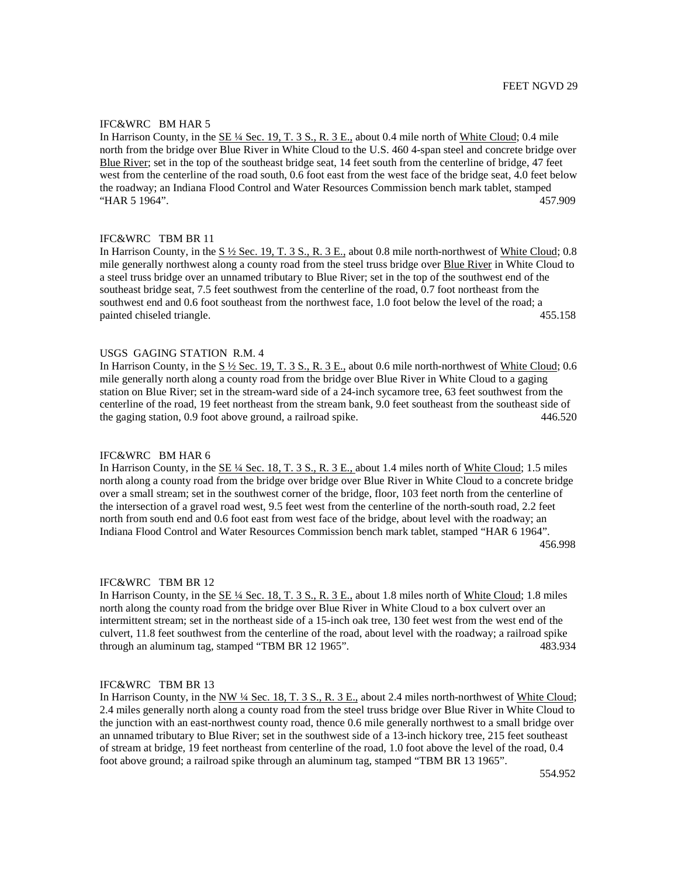## IFC&WRC BM HAR 5

In Harrison County, in the SE ¼ Sec. 19, T. 3 S., R. 3 E., about 0.4 mile north of White Cloud; 0.4 mile north from the bridge over Blue River in White Cloud to the U.S. 460 4-span steel and concrete bridge over Blue River; set in the top of the southeast bridge seat, 14 feet south from the centerline of bridge, 47 feet west from the centerline of the road south, 0.6 foot east from the west face of the bridge seat, 4.0 feet below the roadway; an Indiana Flood Control and Water Resources Commission bench mark tablet, stamped "HAR 5 1964". 457.909

# IFC&WRC TBM BR 11

In Harrison County, in the S ½ Sec. 19, T. 3 S., R. 3 E., about 0.8 mile north-northwest of White Cloud; 0.8 mile generally northwest along a county road from the steel truss bridge over Blue River in White Cloud to a steel truss bridge over an unnamed tributary to Blue River; set in the top of the southwest end of the southeast bridge seat, 7.5 feet southwest from the centerline of the road, 0.7 foot northeast from the southwest end and 0.6 foot southeast from the northwest face, 1.0 foot below the level of the road; a painted chiseled triangle. 455.158

#### USGS GAGING STATION R.M. 4

In Harrison County, in the  $S\frac{1}{2}$  Sec. 19, T. 3 S., R. 3 E., about 0.6 mile north-northwest of White Cloud; 0.6 mile generally north along a county road from the bridge over Blue River in White Cloud to a gaging station on Blue River; set in the stream-ward side of a 24-inch sycamore tree, 63 feet southwest from the centerline of the road, 19 feet northeast from the stream bank, 9.0 feet southeast from the southeast side of the gaging station, 0.9 foot above ground, a railroad spike. 446.520

## IFC&WRC BM HAR 6

In Harrison County, in the SE <sup>1/4</sup> Sec. 18, T. 3 S., R. 3 E., about 1.4 miles north of White Cloud; 1.5 miles north along a county road from the bridge over bridge over Blue River in White Cloud to a concrete bridge over a small stream; set in the southwest corner of the bridge, floor, 103 feet north from the centerline of the intersection of a gravel road west, 9.5 feet west from the centerline of the north-south road, 2.2 feet north from south end and 0.6 foot east from west face of the bridge, about level with the roadway; an Indiana Flood Control and Water Resources Commission bench mark tablet, stamped "HAR 6 1964". 456.998

#### IFC&WRC TBM BR 12

In Harrison County, in the  $\underline{\text{SE 4/4}$  Sec. 18, T. 3 S., R. 3 E., about 1.8 miles north of White Cloud; 1.8 miles north along the county road from the bridge over Blue River in White Cloud to a box culvert over an intermittent stream; set in the northeast side of a 15-inch oak tree, 130 feet west from the west end of the culvert, 11.8 feet southwest from the centerline of the road, about level with the roadway; a railroad spike through an aluminum tag, stamped "TBM BR 12 1965". 483.934

## IFC&WRC TBM BR 13

In Harrison County, in the NW ¼ Sec. 18, T. 3 S., R. 3 E., about 2.4 miles north-northwest of White Cloud; 2.4 miles generally north along a county road from the steel truss bridge over Blue River in White Cloud to the junction with an east-northwest county road, thence 0.6 mile generally northwest to a small bridge over an unnamed tributary to Blue River; set in the southwest side of a 13-inch hickory tree, 215 feet southeast of stream at bridge, 19 feet northeast from centerline of the road, 1.0 foot above the level of the road, 0.4 foot above ground; a railroad spike through an aluminum tag, stamped "TBM BR 13 1965".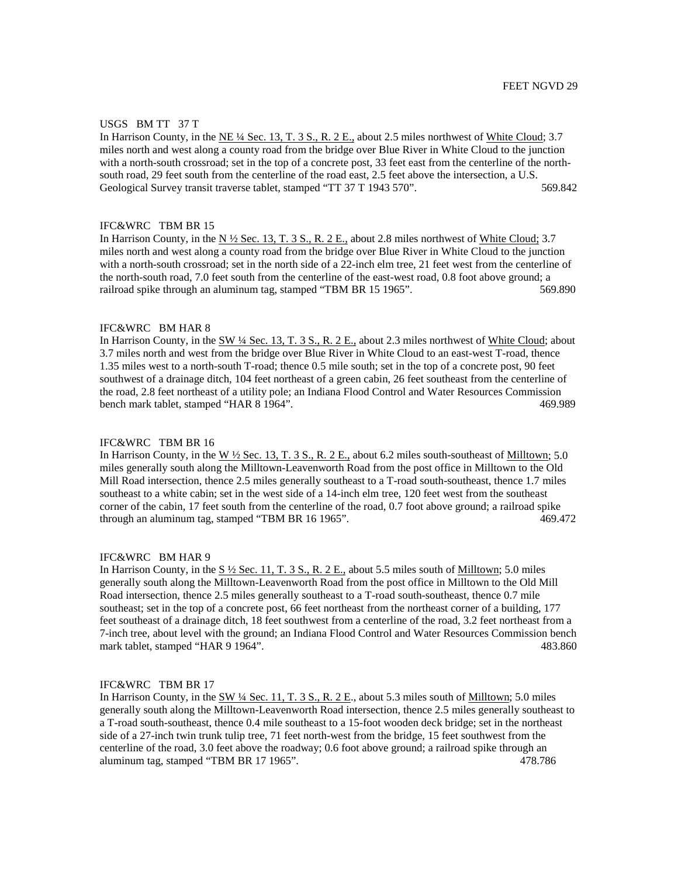#### USGS BM TT 37 T

In Harrison County, in the NE ¼ Sec. 13, T. 3 S., R. 2 E., about 2.5 miles northwest of White Cloud; 3.7 miles north and west along a county road from the bridge over Blue River in White Cloud to the junction with a north-south crossroad; set in the top of a concrete post, 33 feet east from the centerline of the northsouth road, 29 feet south from the centerline of the road east, 2.5 feet above the intersection, a U.S. Geological Survey transit traverse tablet, stamped "TT 37 T 1943 570". 569.842

#### IFC&WRC TBM BR 15

In Harrison County, in the N ½ Sec. 13, T. 3 S., R. 2 E., about 2.8 miles northwest of White Cloud; 3.7 miles north and west along a county road from the bridge over Blue River in White Cloud to the junction with a north-south crossroad; set in the north side of a 22-inch elm tree, 21 feet west from the centerline of the north-south road, 7.0 feet south from the centerline of the east-west road, 0.8 foot above ground; a railroad spike through an aluminum tag, stamped "TBM BR 15 1965". 569.890

## IFC&WRC BM HAR 8

In Harrison County, in the SW 1/4 Sec. 13, T. 3 S., R. 2 E., about 2.3 miles northwest of White Cloud; about 3.7 miles north and west from the bridge over Blue River in White Cloud to an east-west T-road, thence 1.35 miles west to a north-south T-road; thence 0.5 mile south; set in the top of a concrete post, 90 feet southwest of a drainage ditch, 104 feet northeast of a green cabin, 26 feet southeast from the centerline of the road, 2.8 feet northeast of a utility pole; an Indiana Flood Control and Water Resources Commission bench mark tablet, stamped "HAR 8 1964". 469.989

#### IFC&WRC TBM BR 16

In Harrison County, in the W  $\frac{1}{2}$  Sec. 13, T. 3 S., R. 2 E., about 6.2 miles south-southeast of Milltown; 5.0 miles generally south along the Milltown-Leavenworth Road from the post office in Milltown to the Old Mill Road intersection, thence 2.5 miles generally southeast to a T-road south-southeast, thence 1.7 miles southeast to a white cabin; set in the west side of a 14-inch elm tree, 120 feet west from the southeast corner of the cabin, 17 feet south from the centerline of the road, 0.7 foot above ground; a railroad spike<br>through an aluminum tag, stamped "TBM BR 16 1965". through an aluminum tag, stamped "TBM BR 16 1965".

## IFC&WRC BM HAR 9

In Harrison County, in the  $S\frac{1}{2}$  Sec. 11, T. 3 S., R. 2 E., about 5.5 miles south of Milltown; 5.0 miles generally south along the Milltown-Leavenworth Road from the post office in Milltown to the Old Mill Road intersection, thence 2.5 miles generally southeast to a T-road south-southeast, thence 0.7 mile southeast; set in the top of a concrete post, 66 feet northeast from the northeast corner of a building, 177 feet southeast of a drainage ditch, 18 feet southwest from a centerline of the road, 3.2 feet northeast from a 7-inch tree, about level with the ground; an Indiana Flood Control and Water Resources Commission bench mark tablet, stamped "HAR 9 1964". 483.860

## IFC&WRC TBM BR 17

In Harrison County, in the  $\frac{\text{SW }4\text{ Sec. }11, T. 3 S., R. 2 E.}$ , about 5.3 miles south of Milltown; 5.0 miles generally south along the Milltown-Leavenworth Road intersection, thence 2.5 miles generally southeast to a T-road south-southeast, thence 0.4 mile southeast to a 15-foot wooden deck bridge; set in the northeast side of a 27-inch twin trunk tulip tree, 71 feet north-west from the bridge, 15 feet southwest from the centerline of the road, 3.0 feet above the roadway; 0.6 foot above ground; a railroad spike through an aluminum tag, stamped "TBM BR 17 1965". 478.786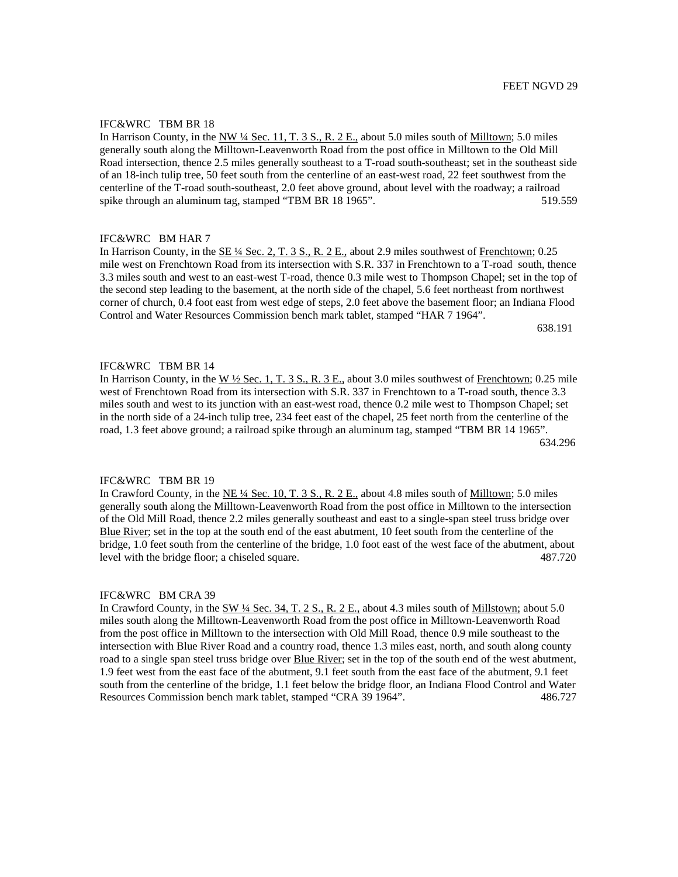In Harrison County, in the NW  $\frac{1}{4}$  Sec. 11, T. 3 S., R. 2 E., about 5.0 miles south of Milltown; 5.0 miles generally south along the Milltown-Leavenworth Road from the post office in Milltown to the Old Mill Road intersection, thence 2.5 miles generally southeast to a T-road south-southeast; set in the southeast side of an 18-inch tulip tree, 50 feet south from the centerline of an east-west road, 22 feet southwest from the centerline of the T-road south-southeast, 2.0 feet above ground, about level with the roadway; a railroad spike through an aluminum tag, stamped "TBM BR 18 1965". 519.559

# IFC&WRC BM HAR 7

In Harrison County, in the <u>SE ¼ Sec. 2, T. 3 S., R. 2 E.</u>, about 2.9 miles southwest of Frenchtown; 0.25 mile west on Frenchtown Road from its intersection with S.R. 337 in Frenchtown to a T-road south, thence 3.3 miles south and west to an east-west T-road, thence 0.3 mile west to Thompson Chapel; set in the top of the second step leading to the basement, at the north side of the chapel, 5.6 feet northeast from northwest corner of church, 0.4 foot east from west edge of steps, 2.0 feet above the basement floor; an Indiana Flood Control and Water Resources Commission bench mark tablet, stamped "HAR 7 1964".

638.191

# IFC&WRC TBM BR 14

In Harrison County, in the W  $\frac{1}{2}$  Sec. 1, T. 3 S., R. 3 E., about 3.0 miles southwest of Frenchtown; 0.25 mile west of Frenchtown Road from its intersection with S.R. 337 in Frenchtown to a T-road south, thence 3.3 miles south and west to its junction with an east-west road, thence 0.2 mile west to Thompson Chapel; set in the north side of a 24-inch tulip tree, 234 feet east of the chapel, 25 feet north from the centerline of the road, 1.3 feet above ground; a railroad spike through an aluminum tag, stamped "TBM BR 14 1965". 634.296

## IFC&WRC TBM BR 19

In Crawford County, in the NE ¼ Sec. 10, T. 3 S., R. 2 E., about 4.8 miles south of Milltown; 5.0 miles generally south along the Milltown-Leavenworth Road from the post office in Milltown to the intersection of the Old Mill Road, thence 2.2 miles generally southeast and east to a single-span steel truss bridge over Blue River; set in the top at the south end of the east abutment, 10 feet south from the centerline of the bridge, 1.0 feet south from the centerline of the bridge, 1.0 foot east of the west face of the abutment, about level with the bridge floor; a chiseled square. 487.720

#### IFC&WRC BM CRA 39

In Crawford County, in the SW 1/4 Sec. 34, T. 2 S., R. 2 E., about 4.3 miles south of Millstown; about 5.0 miles south along the Milltown-Leavenworth Road from the post office in Milltown-Leavenworth Road from the post office in Milltown to the intersection with Old Mill Road, thence 0.9 mile southeast to the intersection with Blue River Road and a country road, thence 1.3 miles east, north, and south along county road to a single span steel truss bridge over Blue River; set in the top of the south end of the west abutment, 1.9 feet west from the east face of the abutment, 9.1 feet south from the east face of the abutment, 9.1 feet south from the centerline of the bridge, 1.1 feet below the bridge floor, an Indiana Flood Control and Water Resources Commission bench mark tablet, stamped "CRA 39 1964". 486.727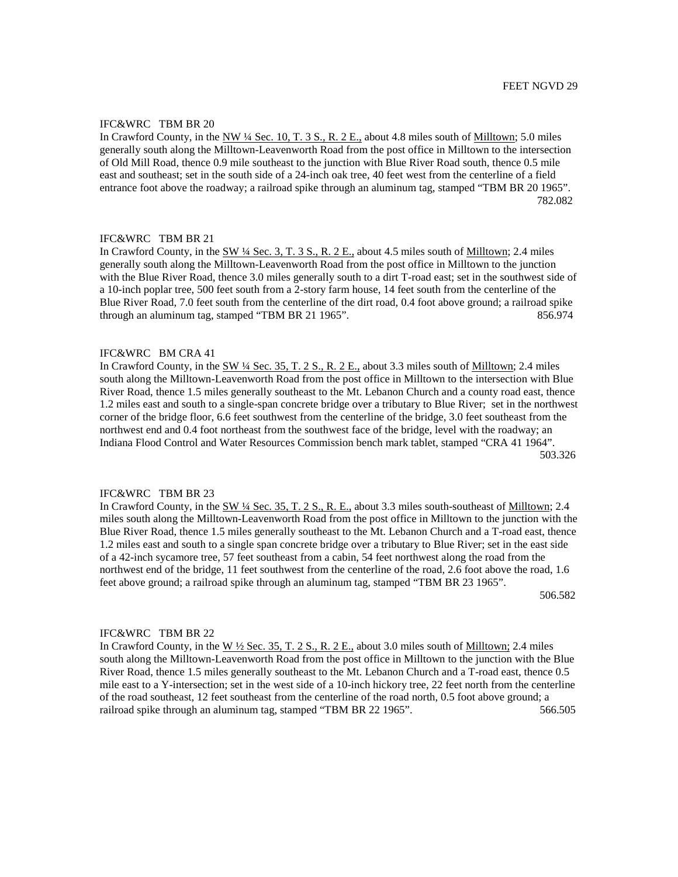In Crawford County, in the NW ¼ Sec. 10, T. 3 S., R. 2 E., about 4.8 miles south of Milltown; 5.0 miles generally south along the Milltown-Leavenworth Road from the post office in Milltown to the intersection of Old Mill Road, thence 0.9 mile southeast to the junction with Blue River Road south, thence 0.5 mile east and southeast; set in the south side of a 24-inch oak tree, 40 feet west from the centerline of a field entrance foot above the roadway; a railroad spike through an aluminum tag, stamped "TBM BR 20 1965". 782.082

# IFC&WRC TBM BR 21

In Crawford County, in the SW ¼ Sec. 3, T. 3 S., R. 2 E., about 4.5 miles south of Milltown; 2.4 miles generally south along the Milltown-Leavenworth Road from the post office in Milltown to the junction with the Blue River Road, thence 3.0 miles generally south to a dirt T-road east; set in the southwest side of a 10-inch poplar tree, 500 feet south from a 2-story farm house, 14 feet south from the centerline of the Blue River Road, 7.0 feet south from the centerline of the dirt road, 0.4 foot above ground; a railroad spike through an aluminum tag, stamped "TBM BR 21 1965". 856.974

#### IFC&WRC BM CRA 41

In Crawford County, in the SW ¼ Sec. 35, T. 2 S., R. 2 E., about 3.3 miles south of Milltown; 2.4 miles south along the Milltown-Leavenworth Road from the post office in Milltown to the intersection with Blue River Road, thence 1.5 miles generally southeast to the Mt. Lebanon Church and a county road east, thence 1.2 miles east and south to a single-span concrete bridge over a tributary to Blue River; set in the northwest corner of the bridge floor, 6.6 feet southwest from the centerline of the bridge, 3.0 feet southeast from the northwest end and 0.4 foot northeast from the southwest face of the bridge, level with the roadway; an Indiana Flood Control and Water Resources Commission bench mark tablet, stamped "CRA 41 1964". 503.326

## IFC&WRC TBM BR 23

In Crawford County, in the SW 1/4 Sec. 35, T. 2 S., R. E., about 3.3 miles south-southeast of Milltown; 2.4 miles south along the Milltown-Leavenworth Road from the post office in Milltown to the junction with the Blue River Road, thence 1.5 miles generally southeast to the Mt. Lebanon Church and a T-road east, thence 1.2 miles east and south to a single span concrete bridge over a tributary to Blue River; set in the east side of a 42-inch sycamore tree, 57 feet southeast from a cabin, 54 feet northwest along the road from the northwest end of the bridge, 11 feet southwest from the centerline of the road, 2.6 foot above the road, 1.6 feet above ground; a railroad spike through an aluminum tag, stamped "TBM BR 23 1965".

506.582

## IFC&WRC TBM BR 22

In Crawford County, in the W ½ Sec. 35, T. 2 S., R. 2 E., about 3.0 miles south of Milltown; 2.4 miles south along the Milltown-Leavenworth Road from the post office in Milltown to the junction with the Blue River Road, thence 1.5 miles generally southeast to the Mt. Lebanon Church and a T-road east, thence 0.5 mile east to a Y-intersection; set in the west side of a 10-inch hickory tree, 22 feet north from the centerline of the road southeast, 12 feet southeast from the centerline of the road north, 0.5 foot above ground; a railroad spike through an aluminum tag, stamped "TBM BR 22 1965". 566.505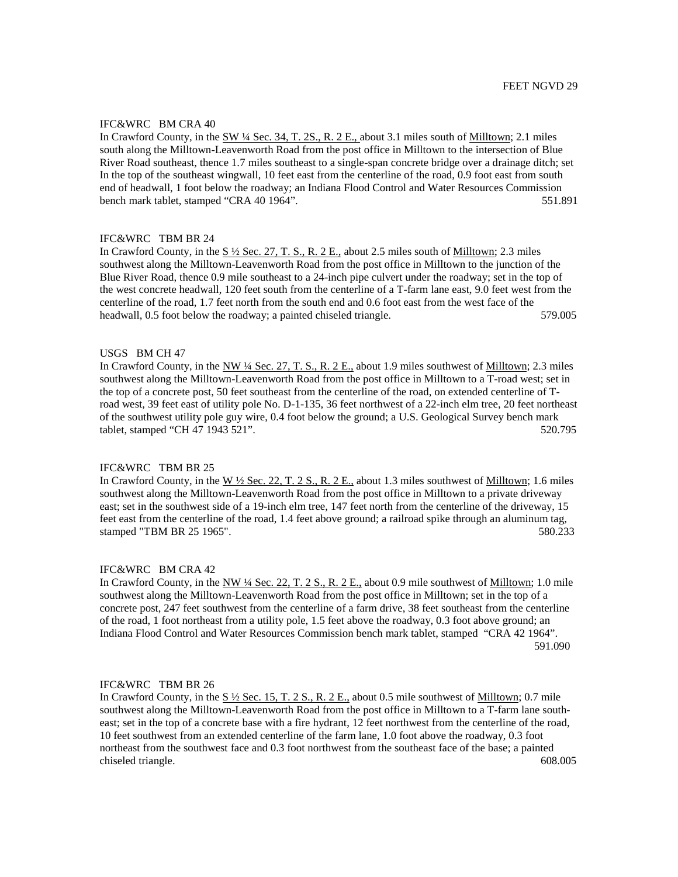## IFC&WRC BM CRA 40

In Crawford County, in the SW ¼ Sec. 34, T. 2S., R. 2 E., about 3.1 miles south of Milltown; 2.1 miles south along the Milltown-Leavenworth Road from the post office in Milltown to the intersection of Blue River Road southeast, thence 1.7 miles southeast to a single-span concrete bridge over a drainage ditch; set In the top of the southeast wingwall, 10 feet east from the centerline of the road, 0.9 foot east from south end of headwall, 1 foot below the roadway; an Indiana Flood Control and Water Resources Commission bench mark tablet, stamped "CRA 40 1964". 551.891

# IFC&WRC TBM BR 24

In Crawford County, in the  $S\frac{1}{2}$  Sec. 27, T. S., R. 2 E., about 2.5 miles south of Milltown; 2.3 miles southwest along the Milltown-Leavenworth Road from the post office in Milltown to the junction of the Blue River Road, thence 0.9 mile southeast to a 24-inch pipe culvert under the roadway; set in the top of the west concrete headwall, 120 feet south from the centerline of a T-farm lane east, 9.0 feet west from the centerline of the road, 1.7 feet north from the south end and 0.6 foot east from the west face of the headwall, 0.5 foot below the roadway; a painted chiseled triangle. 579.005

#### USGS BM CH 47

In Crawford County, in the NW ¼ Sec. 27, T. S., R. 2 E., about 1.9 miles southwest of Milltown; 2.3 miles southwest along the Milltown-Leavenworth Road from the post office in Milltown to a T-road west; set in the top of a concrete post, 50 feet southeast from the centerline of the road, on extended centerline of Troad west, 39 feet east of utility pole No. D-1-135, 36 feet northwest of a 22-inch elm tree, 20 feet northeast of the southwest utility pole guy wire, 0.4 foot below the ground; a U.S. Geological Survey bench mark tablet, stamped "CH 47 1943 521". 520.795

## IFC&WRC TBM BR 25

In Crawford County, in the W 1/2 Sec. 22, T. 2 S., R. 2 E., about 1.3 miles southwest of Milltown; 1.6 miles southwest along the Milltown-Leavenworth Road from the post office in Milltown to a private driveway east; set in the southwest side of a 19-inch elm tree, 147 feet north from the centerline of the driveway, 15 feet east from the centerline of the road, 1.4 feet above ground; a railroad spike through an aluminum tag, stamped "TBM BR 25 1965". 580.233

#### IFC&WRC BM CRA 42

In Crawford County, in the NW  $\frac{1}{4}$  Sec. 22, T. 2 S., R. 2 E., about 0.9 mile southwest of Milltown; 1.0 mile southwest along the Milltown-Leavenworth Road from the post office in Milltown; set in the top of a concrete post, 247 feet southwest from the centerline of a farm drive, 38 feet southeast from the centerline of the road, 1 foot northeast from a utility pole, 1.5 feet above the roadway, 0.3 foot above ground; an Indiana Flood Control and Water Resources Commission bench mark tablet, stamped "CRA 42 1964". 591.090

## IFC&WRC TBM BR 26

In Crawford County, in the  $S\frac{1}{2}$  Sec. 15, T. 2 S., R. 2 E., about 0.5 mile southwest of Milltown; 0.7 mile southwest along the Milltown-Leavenworth Road from the post office in Milltown to a T-farm lane southeast; set in the top of a concrete base with a fire hydrant, 12 feet northwest from the centerline of the road, 10 feet southwest from an extended centerline of the farm lane, 1.0 foot above the roadway, 0.3 foot northeast from the southwest face and 0.3 foot northwest from the southeast face of the base; a painted chiseled triangle. 608.005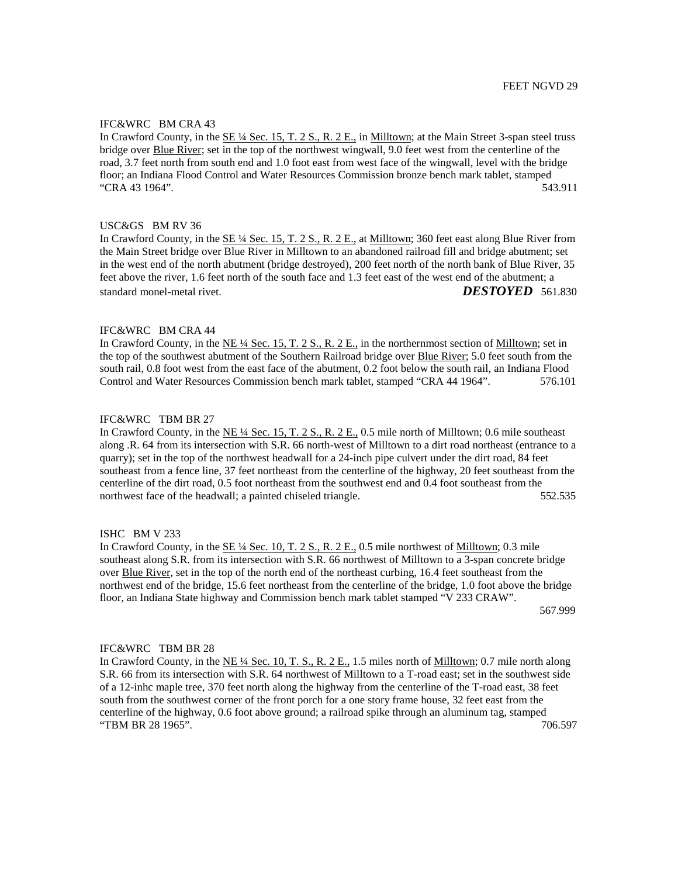## IFC&WRC BM CRA 43

In Crawford County, in the SE ¼ Sec. 15, T. 2 S., R. 2 E., in Milltown; at the Main Street 3-span steel truss bridge over Blue River; set in the top of the northwest wingwall, 9.0 feet west from the centerline of the road, 3.7 feet north from south end and 1.0 foot east from west face of the wingwall, level with the bridge floor; an Indiana Flood Control and Water Resources Commission bronze bench mark tablet, stamped "CRA 43 1964". 543.911

#### USC&GS BM RV 36

In Crawford County, in the SE ¼ Sec. 15, T. 2 S., R. 2 E., at Milltown; 360 feet east along Blue River from the Main Street bridge over Blue River in Milltown to an abandoned railroad fill and bridge abutment; set in the west end of the north abutment (bridge destroyed), 200 feet north of the north bank of Blue River, 35 feet above the river, 1.6 feet north of the south face and 1.3 feet east of the west end of the abutment; a standard monel-metal rivet. *DESTOYED* 561.830

## IFC&WRC BM CRA 44

In Crawford County, in the NE ¼ Sec. 15, T. 2 S., R. 2 E., in the northernmost section of Milltown; set in the top of the southwest abutment of the Southern Railroad bridge over Blue River; 5.0 feet south from the south rail, 0.8 foot west from the east face of the abutment, 0.2 foot below the south rail, an Indiana Flood Control and Water Resources Commission bench mark tablet, stamped "CRA 44 1964". 576.101

# IFC&WRC TBM BR 27

In Crawford County, in the  $NE \frac{1}{4}$  Sec. 15, T. 2 S., R. 2 E., 0.5 mile north of Milltown; 0.6 mile southeast along .R. 64 from its intersection with S.R. 66 north-west of Milltown to a dirt road northeast (entrance to a quarry); set in the top of the northwest headwall for a 24-inch pipe culvert under the dirt road, 84 feet southeast from a fence line, 37 feet northeast from the centerline of the highway, 20 feet southeast from the centerline of the dirt road, 0.5 foot northeast from the southwest end and 0.4 foot southeast from the northwest face of the headwall; a painted chiseled triangle. 552.535

#### ISHC BM V 233

In Crawford County, in the SE ¼ Sec. 10, T. 2 S., R. 2 E., 0.5 mile northwest of Milltown; 0.3 mile southeast along S.R. from its intersection with S.R. 66 northwest of Milltown to a 3-span concrete bridge over Blue River, set in the top of the north end of the northeast curbing, 16.4 feet southeast from the northwest end of the bridge, 15.6 feet northeast from the centerline of the bridge, 1.0 foot above the bridge floor, an Indiana State highway and Commission bench mark tablet stamped "V 233 CRAW".

567.999

#### IFC&WRC TBM BR 28

In Crawford County, in the  $NE \frac{1}{4}$  Sec. 10, T. S., R. 2 E., 1.5 miles north of Milltown; 0.7 mile north along S.R. 66 from its intersection with S.R. 64 northwest of Milltown to a T-road east; set in the southwest side of a 12-inhc maple tree, 370 feet north along the highway from the centerline of the T-road east, 38 feet south from the southwest corner of the front porch for a one story frame house, 32 feet east from the centerline of the highway, 0.6 foot above ground; a railroad spike through an aluminum tag, stamped "TBM BR 28 1965". 706.597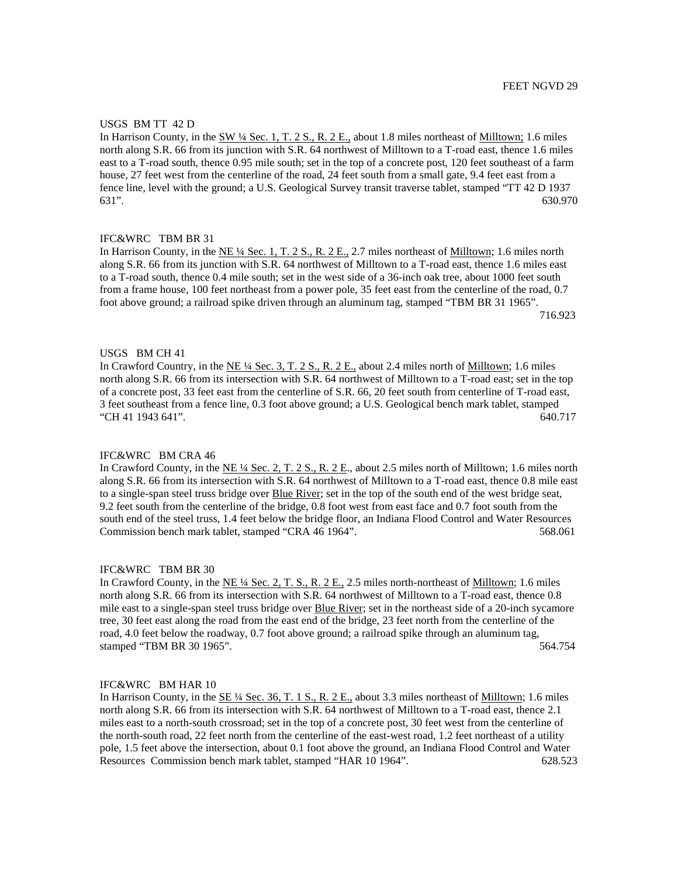#### USGS BM TT 42 D

In Harrison County, in the SW ¼ Sec. 1, T. 2 S., R. 2 E., about 1.8 miles northeast of Milltown; 1.6 miles north along S.R. 66 from its junction with S.R. 64 northwest of Milltown to a T-road east, thence 1.6 miles east to a T-road south, thence 0.95 mile south; set in the top of a concrete post, 120 feet southeast of a farm house, 27 feet west from the centerline of the road, 24 feet south from a small gate, 9.4 feet east from a fence line, level with the ground; a U.S. Geological Survey transit traverse tablet, stamped "TT 42 D 1937 631". 630.970

# IFC&WRC TBM BR 31

In Harrison County, in the NE  $\frac{1}{4}$  Sec. 1, T. 2 S., R. 2 E., 2.7 miles northeast of Milltown; 1.6 miles north along S.R. 66 from its junction with S.R. 64 northwest of Milltown to a T-road east, thence 1.6 miles east to a T-road south, thence 0.4 mile south; set in the west side of a 36-inch oak tree, about 1000 feet south from a frame house, 100 feet northeast from a power pole, 35 feet east from the centerline of the road, 0.7 foot above ground; a railroad spike driven through an aluminum tag, stamped "TBM BR 31 1965". 716.923

#### USGS BM CH 41

In Crawford Country, in the NE ¼ Sec. 3, T. 2 S., R. 2 E., about 2.4 miles north of Milltown; 1.6 miles north along S.R. 66 from its intersection with S.R. 64 northwest of Milltown to a T-road east; set in the top of a concrete post, 33 feet east from the centerline of S.R. 66, 20 feet south from centerline of T-road east, 3 feet southeast from a fence line, 0.3 foot above ground; a U.S. Geological bench mark tablet, stamped "CH 41 1943 641". 640.717

#### IFC&WRC BM CRA 46

In Crawford County, in the NE ¼ Sec. 2, T. 2 S., R. 2 E., about 2.5 miles north of Milltown; 1.6 miles north along S.R. 66 from its intersection with S.R. 64 northwest of Milltown to a T-road east, thence 0.8 mile east to a single-span steel truss bridge over Blue River; set in the top of the south end of the west bridge seat, 9.2 feet south from the centerline of the bridge, 0.8 foot west from east face and 0.7 foot south from the south end of the steel truss, 1.4 feet below the bridge floor, an Indiana Flood Control and Water Resources Commission bench mark tablet, stamped "CRA 46 1964". 568.061

#### IFC&WRC TBM BR 30

In Crawford County, in the NE ¼ Sec. 2, T. S., R. 2 E., 2.5 miles north-northeast of Milltown; 1.6 miles north along S.R. 66 from its intersection with S.R. 64 northwest of Milltown to a T-road east, thence 0.8 mile east to a single-span steel truss bridge over Blue River; set in the northeast side of a 20-inch sycamore tree, 30 feet east along the road from the east end of the bridge, 23 feet north from the centerline of the road, 4.0 feet below the roadway, 0.7 foot above ground; a railroad spike through an aluminum tag, stamped "TBM BR 30 1965". 564.754

IFC&WRC BM HAR 10

In Harrison County, in the  $\underline{\text{SE 4/}}$  Sec. 36, T. 1 S., R. 2 E., about 3.3 miles northeast of Milltown; 1.6 miles north along S.R. 66 from its intersection with S.R. 64 northwest of Milltown to a T-road east, thence 2.1 miles east to a north-south crossroad; set in the top of a concrete post, 30 feet west from the centerline of the north-south road, 22 feet north from the centerline of the east-west road, 1.2 feet northeast of a utility pole, 1.5 feet above the intersection, about 0.1 foot above the ground, an Indiana Flood Control and Water Resources Commission bench mark tablet, stamped "HAR 10 1964". 628.523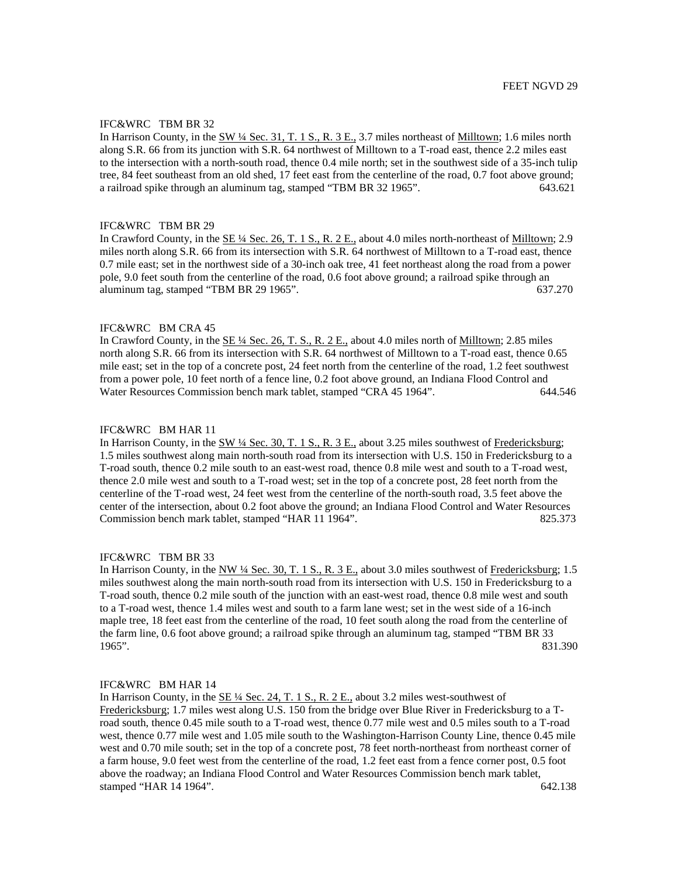In Harrison County, in the SW ¼ Sec. 31, T. 1 S., R. 3 E., 3.7 miles northeast of Milltown; 1.6 miles north along S.R. 66 from its junction with S.R. 64 northwest of Milltown to a T-road east, thence 2.2 miles east to the intersection with a north-south road, thence 0.4 mile north; set in the southwest side of a 35-inch tulip tree, 84 feet southeast from an old shed, 17 feet east from the centerline of the road, 0.7 foot above ground; a railroad spike through an aluminum tag, stamped "TBM BR 32 1965". 643.621

#### IFC&WRC TBM BR 29

In Crawford County, in the SE ¼ Sec. 26, T. 1 S., R. 2 E., about 4.0 miles north-northeast of Milltown; 2.9 miles north along S.R. 66 from its intersection with S.R. 64 northwest of Milltown to a T-road east, thence 0.7 mile east; set in the northwest side of a 30-inch oak tree, 41 feet northeast along the road from a power pole, 9.0 feet south from the centerline of the road, 0.6 foot above ground; a railroad spike through an aluminum tag, stamped "TBM BR 29 1965". 637.270

## IFC&WRC BM CRA 45

In Crawford County, in the SE 1/4 Sec. 26, T. S., R. 2 E., about 4.0 miles north of Milltown; 2.85 miles north along S.R. 66 from its intersection with S.R. 64 northwest of Milltown to a T-road east, thence 0.65 mile east; set in the top of a concrete post, 24 feet north from the centerline of the road, 1.2 feet southwest from a power pole, 10 feet north of a fence line, 0.2 foot above ground, an Indiana Flood Control and Water Resources Commission bench mark tablet, stamped "CRA 45 1964". 644.546

#### IFC&WRC BM HAR 11

In Harrison County, in the SW  $\frac{1}{4}$  Sec. 30, T. 1 S., R. 3 E., about 3.25 miles southwest of Fredericksburg; 1.5 miles southwest along main north-south road from its intersection with U.S. 150 in Fredericksburg to a T-road south, thence 0.2 mile south to an east-west road, thence 0.8 mile west and south to a T-road west, thence 2.0 mile west and south to a T-road west; set in the top of a concrete post, 28 feet north from the centerline of the T-road west, 24 feet west from the centerline of the north-south road, 3.5 feet above the center of the intersection, about 0.2 foot above the ground; an Indiana Flood Control and Water Resources Commission bench mark tablet, stamped "HAR 11 1964". 825.373

#### IFC&WRC TBM BR 33

In Harrison County, in the NW ¼ Sec. 30, T. 1 S., R. 3 E., about 3.0 miles southwest of Fredericksburg; 1.5 miles southwest along the main north-south road from its intersection with U.S. 150 in Fredericksburg to a T-road south, thence 0.2 mile south of the junction with an east-west road, thence 0.8 mile west and south to a T-road west, thence 1.4 miles west and south to a farm lane west; set in the west side of a 16-inch maple tree, 18 feet east from the centerline of the road, 10 feet south along the road from the centerline of the farm line, 0.6 foot above ground; a railroad spike through an aluminum tag, stamped "TBM BR 33 1965". 831.390

## IFC&WRC BM HAR 14

In Harrison County, in the  $\underline{\text{SE 14} \text{ Sec. 24, T. 1 S., R. 2 E.,}}$  about 3.2 miles west-southwest of Fredericksburg; 1.7 miles west along U.S. 150 from the bridge over Blue River in Fredericksburg to a Troad south, thence 0.45 mile south to a T-road west, thence 0.77 mile west and 0.5 miles south to a T-road west, thence 0.77 mile west and 1.05 mile south to the Washington-Harrison County Line, thence 0.45 mile west and 0.70 mile south; set in the top of a concrete post, 78 feet north-northeast from northeast corner of a farm house, 9.0 feet west from the centerline of the road, 1.2 feet east from a fence corner post, 0.5 foot above the roadway; an Indiana Flood Control and Water Resources Commission bench mark tablet, stamped "HAR 14 1964". 642.138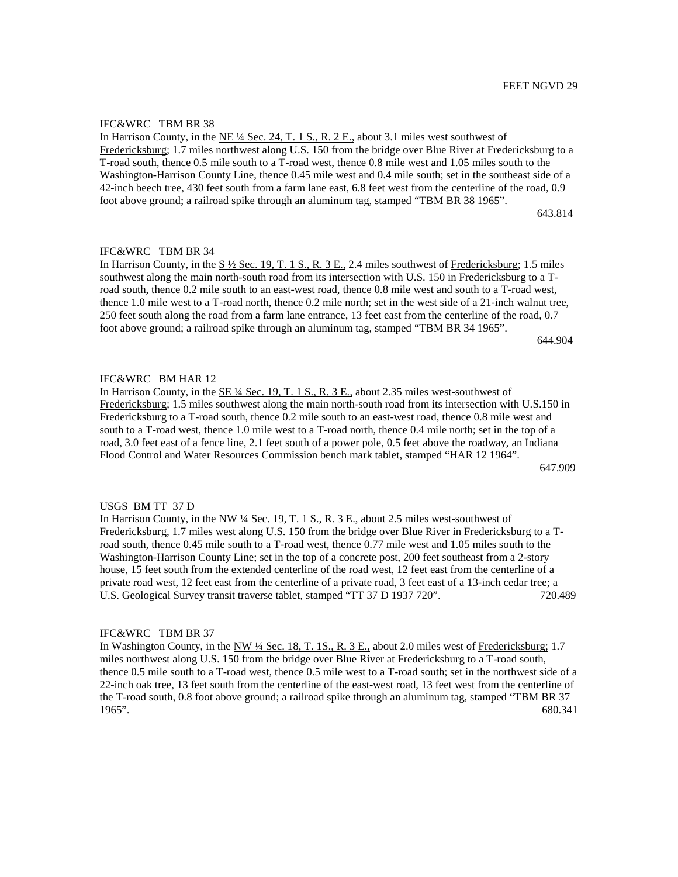In Harrison County, in the NE ¼ Sec. 24, T. 1 S., R. 2 E., about 3.1 miles west southwest of Fredericksburg; 1.7 miles northwest along U.S. 150 from the bridge over Blue River at Fredericksburg to a T-road south, thence 0.5 mile south to a T-road west, thence 0.8 mile west and 1.05 miles south to the Washington-Harrison County Line, thence 0.45 mile west and 0.4 mile south; set in the southeast side of a 42-inch beech tree, 430 feet south from a farm lane east, 6.8 feet west from the centerline of the road, 0.9 foot above ground; a railroad spike through an aluminum tag, stamped "TBM BR 38 1965".

643.814

IFC&WRC TBM BR 34

In Harrison County, in the  $S\frac{1}{2}$  Sec. 19, T. 1 S., R. 3 E., 2.4 miles southwest of Fredericksburg; 1.5 miles southwest along the main north-south road from its intersection with U.S. 150 in Fredericksburg to a Troad south, thence 0.2 mile south to an east-west road, thence 0.8 mile west and south to a T-road west, thence 1.0 mile west to a T-road north, thence 0.2 mile north; set in the west side of a 21-inch walnut tree, 250 feet south along the road from a farm lane entrance, 13 feet east from the centerline of the road, 0.7 foot above ground; a railroad spike through an aluminum tag, stamped "TBM BR 34 1965".

644.904

## IFC&WRC BM HAR 12

In Harrison County, in the SE ¼ Sec. 19, T. 1 S., R. 3 E., about 2.35 miles west-southwest of Fredericksburg; 1.5 miles southwest along the main north-south road from its intersection with U.S.150 in Fredericksburg to a T-road south, thence 0.2 mile south to an east-west road, thence 0.8 mile west and south to a T-road west, thence 1.0 mile west to a T-road north, thence 0.4 mile north; set in the top of a road, 3.0 feet east of a fence line, 2.1 feet south of a power pole, 0.5 feet above the roadway, an Indiana Flood Control and Water Resources Commission bench mark tablet, stamped "HAR 12 1964".

647.909

#### USGS BM TT 37 D

In Harrison County, in the  $NW\frac{1}{4}$  Sec. 19, T. 1 S., R. 3 E., about 2.5 miles west-southwest of Fredericksburg, 1.7 miles west along U.S. 150 from the bridge over Blue River in Fredericksburg to a Troad south, thence 0.45 mile south to a T-road west, thence 0.77 mile west and 1.05 miles south to the Washington-Harrison County Line; set in the top of a concrete post, 200 feet southeast from a 2-story house, 15 feet south from the extended centerline of the road west, 12 feet east from the centerline of a private road west, 12 feet east from the centerline of a private road, 3 feet east of a 13-inch cedar tree; a U.S. Geological Survey transit traverse tablet, stamped "TT 37 D 1937 720". 720.489

#### IFC&WRC TBM BR 37

In Washington County, in the NW ¼ Sec. 18, T. 1S., R. 3 E., about 2.0 miles west of Fredericksburg; 1.7 miles northwest along U.S. 150 from the bridge over Blue River at Fredericksburg to a T-road south, thence 0.5 mile south to a T-road west, thence 0.5 mile west to a T-road south; set in the northwest side of a 22-inch oak tree, 13 feet south from the centerline of the east-west road, 13 feet west from the centerline of the T-road south, 0.8 foot above ground; a railroad spike through an aluminum tag, stamped "TBM BR 37 1965". 680.341